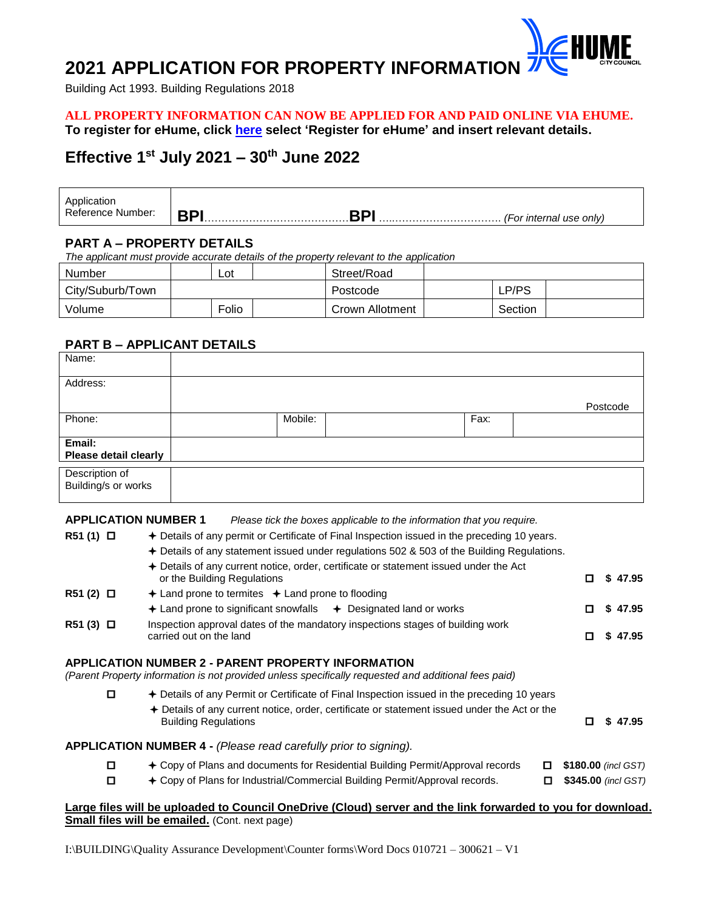# **2021 APPLICATION FOR PROPERTY INFORMATION**

Building Act 1993. Building Regulations 2018

## **ALL PROPERTY INFORMATION CAN NOW BE APPLIED FOR AND PAID ONLINE VIA EHUME.**

**To register for eHume, click [here](https://www.hume.vic.gov.au/Building-and-Planning/Building-and-Planning-Services/Submit-a-Building-or-Planning-Application) select 'Register for eHume' and insert relevant details.**

# **Effective 1st July 2021 – 30th June 2022**

| Application       |                         |
|-------------------|-------------------------|
| Reference Number: | (For internal use only) |

# **PART A – PROPERTY DETAILS**

*The applicant must provide accurate details of the property relevant to the application*

| Number           | ∟ot   | Street/Road            |         |  |
|------------------|-------|------------------------|---------|--|
| City/Suburb/Town |       | Postcode               | LP/PS   |  |
| Volume           | Folio | <b>Crown Allotment</b> | Section |  |

# **PART B – APPLICANT DETAILS**

| Name:                                  |         |      |          |
|----------------------------------------|---------|------|----------|
| Address:                               |         |      |          |
|                                        |         |      | Postcode |
| Phone:                                 | Mobile: | Fax: |          |
| Email:<br><b>Please detail clearly</b> |         |      |          |
| Description of<br>Building/s or works  |         |      |          |

**APPLICATION NUMBER 1** *Please tick the boxes applicable to the information that you require.*

| R51 (1) □ | <b>→ Details of any permit or Certificate of Final Inspection issued in the preceding 10 years.</b> |  |  |
|-----------|-----------------------------------------------------------------------------------------------------|--|--|
|-----------|-----------------------------------------------------------------------------------------------------|--|--|

Details of any statement issued under regulations 502 & 503 of the Building Regulations.

| $\triangleq$ Details of any current notice, order, certificate or statement issued under the Act<br>or the Building Regulations                                                                                                           | 0                                                                                                                                                                                                                                     | \$47.95                                    |
|-------------------------------------------------------------------------------------------------------------------------------------------------------------------------------------------------------------------------------------------|---------------------------------------------------------------------------------------------------------------------------------------------------------------------------------------------------------------------------------------|--------------------------------------------|
| $\div$ Land prone to termites $\div$ Land prone to flooding                                                                                                                                                                               |                                                                                                                                                                                                                                       |                                            |
| $\div$ Land prone to significant snowfalls $\div$ Designated land or works                                                                                                                                                                | 0                                                                                                                                                                                                                                     | \$47.95                                    |
| Inspection approval dates of the mandatory inspections stages of building work<br>carried out on the land                                                                                                                                 | О                                                                                                                                                                                                                                     | 47.95<br>S.                                |
|                                                                                                                                                                                                                                           |                                                                                                                                                                                                                                       |                                            |
| $\div$ Details of any Permit or Certificate of Final Inspection issued in the preceding 10 years<br>$\triangle$ Details of any current notice, order, certificate or statement issued under the Act or the<br><b>Building Regulations</b> | п.                                                                                                                                                                                                                                    | 47.95<br>S.                                |
|                                                                                                                                                                                                                                           |                                                                                                                                                                                                                                       |                                            |
| ← Copy of Plans and documents for Residential Building Permit/Approval records<br>0<br>← Copy of Plans for Industrial/Commercial Building Permit/Approval records.<br>0                                                                   |                                                                                                                                                                                                                                       | \$180.00 (incl GST)<br>\$345.00 (incl GST) |
|                                                                                                                                                                                                                                           | APPLICATION NUMBER 2 - PARENT PROPERTY INFORMATION<br>(Parent Property information is not provided unless specifically requested and additional fees paid)<br><b>APPLICATION NUMBER 4 - (Please read carefully prior to signing).</b> |                                            |

#### **Large files will be uploaded to Council OneDrive (Cloud) server and the link forwarded to you for download. Small files will be emailed.** (Cont. next page)

I:\BUILDING\Quality Assurance Development\Counter forms\Word Docs 010721 – 300621 – V1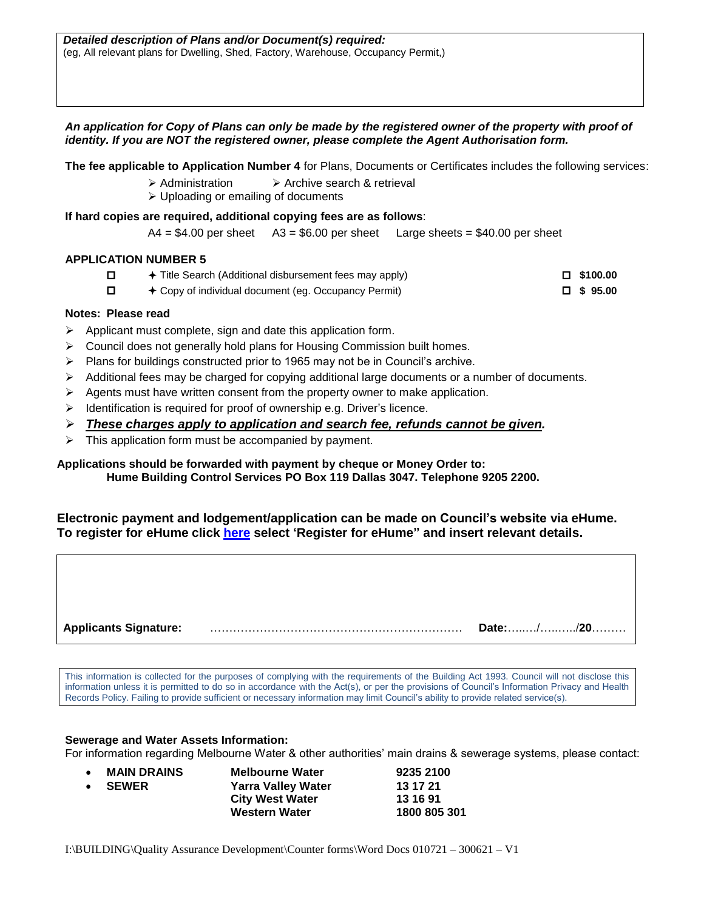#### *An application for Copy of Plans can only be made by the registered owner of the property with proof of identity. If you are NOT the registered owner, please complete the Agent Authorisation form.*

**The fee applicable to Application Number 4** for Plans, Documents or Certificates includes the following services:

- ➢ Administration ➢ Archive search & retrieval
- ➢ Uploading or emailing of documents

#### **If hard copies are required, additional copying fees are as follows**:

 $A4 = $4.00$  per sheet  $A3 = $6.00$  per sheet Large sheets = \$40.00 per sheet

## **APPLICATION NUMBER 5**

 $\Box$   $\rightarrow$  Title Search (Additional disbursement fees may apply)  $\Box$  \$100.00

Copy of individual document (eg. Occupancy Permit)  **\$ 95.00**

## **Notes: Please read**

- $\triangleright$  Applicant must complete, sign and date this application form.
- $\triangleright$  Council does not generally hold plans for Housing Commission built homes.
- $\triangleright$  Plans for buildings constructed prior to 1965 may not be in Council's archive.
- $\triangleright$  Additional fees may be charged for copying additional large documents or a number of documents.
- ➢ Agents must have written consent from the property owner to make application.
- ➢ Identification is required for proof of ownership e.g. Driver's licence.
- ➢ *These charges apply to application and search fee, refunds cannot be given.*
- $\triangleright$  This application form must be accompanied by payment.

# **Applications should be forwarded with payment by cheque or Money Order to:**

**Hume Building Control Services PO Box 119 Dallas 3047. Telephone 9205 2200.** 

#### **Electronic payment and lodgement/application can be made on Council's website via eHume. To register for eHume click [here](https://www.hume.vic.gov.au/Building-and-Planning/Building-and-Planning-Services/Submit-a-Building-or-Planning-Application) select 'Register for eHume" and insert relevant details.**

| <b>Applicants Signature:</b> | . | Date://20 |
|------------------------------|---|-----------|

This information is collected for the purposes of complying with the requirements of the Building Act 1993. Council will not disclose this information unless it is permitted to do so in accordance with the Act(s), or per the provisions of Council's Information Privacy and Health Records Policy. Failing to provide sufficient or necessary information may limit Council's ability to provide related service(s).

#### **Sewerage and Water Assets Information:**

For information regarding Melbourne Water & other authorities' main drains & sewerage systems, please contact:

| $\bullet$ | <b>MAIN DRAINS</b> | <b>Melbourne Water</b>    | 9235 2100    |
|-----------|--------------------|---------------------------|--------------|
| $\bullet$ | SEWER              | <b>Yarra Valley Water</b> | 13 17 21     |
|           |                    | <b>City West Water</b>    | 13 16 91     |
|           |                    | Western Water             | 1800 805 301 |
|           |                    |                           |              |